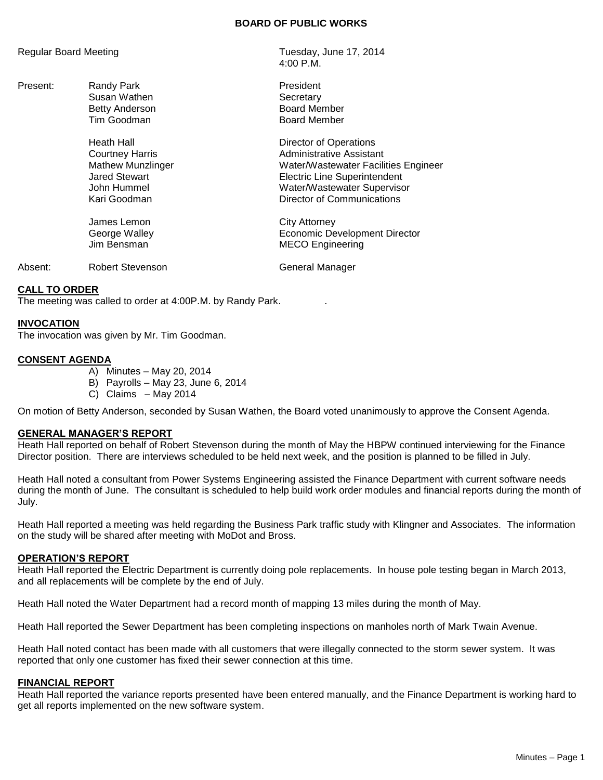# **BOARD OF PUBLIC WORKS**

4:00 P.M.

## Regular Board Meeting Tuesday, June 17, 2014

Present: Randy Park **President** Susan Wathen **Susan Wathen** Betty Anderson **Board Member** Tim Goodman **Board Member** Heath Hall **Hall** Director of Operations **Courtney Harris** Courtney Harris **Administrative Assistant** Mathew Munzlinger Water/Wastewater Facilities Engineer Jared Stewart Electric Line Superintendent John Hummel Water/Wastewater Supervisor Kari Goodman **Nights Communications Communications** James Lemon City Attorney George Walley Economic Development Director Jim Bensman MECO Engineering Absent: Robert Stevenson Changer Changer

## **CALL TO ORDER**

The meeting was called to order at 4:00P.M. by Randy Park. .

## **INVOCATION**

The invocation was given by Mr. Tim Goodman.

# **CONSENT AGENDA**

- A) Minutes May 20, 2014
- B) Payrolls May 23, June 6, 2014
- C) Claims May 2014

On motion of Betty Anderson, seconded by Susan Wathen, the Board voted unanimously to approve the Consent Agenda.

#### **GENERAL MANAGER'S REPORT**

Heath Hall reported on behalf of Robert Stevenson during the month of May the HBPW continued interviewing for the Finance Director position. There are interviews scheduled to be held next week, and the position is planned to be filled in July.

Heath Hall noted a consultant from Power Systems Engineering assisted the Finance Department with current software needs during the month of June. The consultant is scheduled to help build work order modules and financial reports during the month of July.

Heath Hall reported a meeting was held regarding the Business Park traffic study with Klingner and Associates. The information on the study will be shared after meeting with MoDot and Bross.

#### **OPERATION'S REPORT**

Heath Hall reported the Electric Department is currently doing pole replacements. In house pole testing began in March 2013, and all replacements will be complete by the end of July.

Heath Hall noted the Water Department had a record month of mapping 13 miles during the month of May.

Heath Hall reported the Sewer Department has been completing inspections on manholes north of Mark Twain Avenue.

Heath Hall noted contact has been made with all customers that were illegally connected to the storm sewer system. It was reported that only one customer has fixed their sewer connection at this time.

#### **FINANCIAL REPORT**

Heath Hall reported the variance reports presented have been entered manually, and the Finance Department is working hard to get all reports implemented on the new software system.